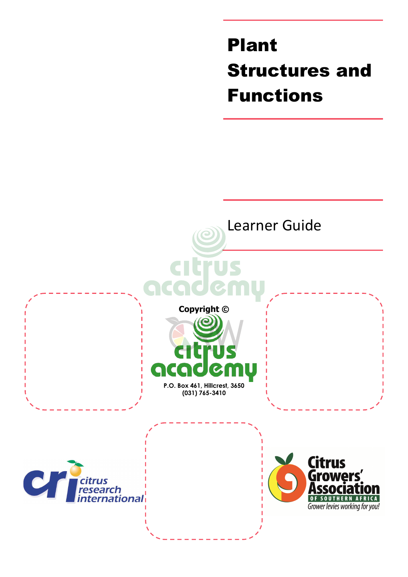Plant Structures and Functions

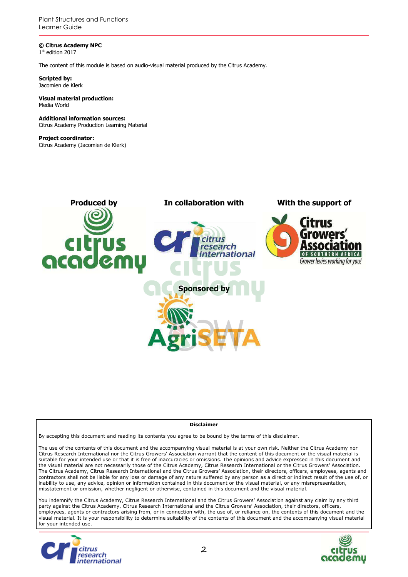Plant Structures and Functions Learner Guide

**© Citrus Academy NPC**  1 st edition 2017

The content of this module is based on audio-visual material produced by the Citrus Academy.

**Scripted by:**  Jacomien de Klerk

#### **Visual material production:**  Media World

**Additional information sources:**  Citrus Academy Production Learning Material

**Project coordinator:** Citrus Academy (Jacomien de Klerk)



#### **Disclaimer**

By accepting this document and reading its contents you agree to be bound by the terms of this disclaimer.

The use of the contents of this document and the accompanying visual material is at your own risk. Neither the Citrus Academy nor Citrus Research International nor the Citrus Growers' Association warrant that the content of this document or the visual material is suitable for your intended use or that it is free of inaccuracies or omissions. The opinions and advice expressed in this document and the visual material are not necessarily those of the Citrus Academy, Citrus Research International or the Citrus Growers' Association. The Citrus Academy, Citrus Research International and the Citrus Growers' Association, their directors, officers, employees, agents and contractors shall not be liable for any loss or damage of any nature suffered by any person as a direct or indirect result of the use of, or inability to use, any advice, opinion or information contained in this document or the visual material, or any misrepresentation, misstatement or omission, whether negligent or otherwise, contained in this document and the visual material.

You indemnify the Citrus Academy, Citrus Research International and the Citrus Growers' Association against any claim by any third party against the Citrus Academy, Citrus Research International and the Citrus Growers' Association, their directors, officers, employees, agents or contractors arising from, or in connection with, the use of, or reliance on, the contents of this document and the visual material. It is your responsibility to determine suitability of the contents of this document and the accompanying visual material for your intended use.



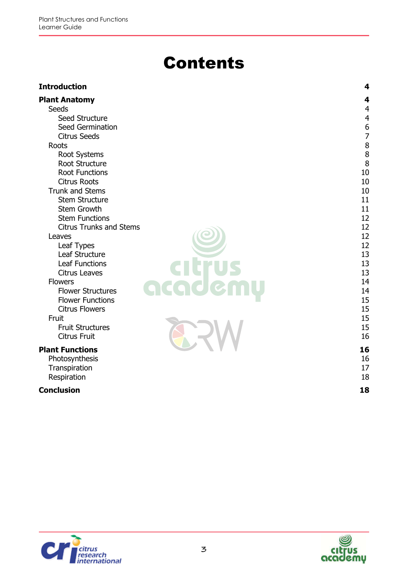# **Contents**

| <b>Introduction</b>            | 4              |
|--------------------------------|----------------|
| <b>Plant Anatomy</b>           | 4              |
| Seeds                          | $\overline{4}$ |
| Seed Structure                 | $\overline{4}$ |
| Seed Germination               |                |
| <b>Citrus Seeds</b>            |                |
| Roots                          | 6788           |
| Root Systems                   |                |
| Root Structure                 | 8              |
| <b>Root Functions</b>          | 10             |
| <b>Citrus Roots</b>            | 10             |
| <b>Trunk and Stems</b>         | 10             |
| <b>Stem Structure</b>          | 11             |
| Stem Growth                    | 11             |
| <b>Stem Functions</b>          | 12             |
| <b>Citrus Trunks and Stems</b> | 12             |
| Leaves                         | 12             |
| Leaf Types                     | 12             |
| Leaf Structure                 | 13             |
| <b>Leaf Functions</b>          | 13             |
| <b>Citrus Leaves</b>           | 13             |
| <b>Flowers</b>                 | 14             |
| <b>Flower Structures</b>       | 14             |
| <b>Flower Functions</b>        | 15             |
| <b>Citrus Flowers</b>          | 15             |
| Fruit                          | 15             |
| <b>Fruit Structures</b>        | 15<br>16       |
| <b>Citrus Fruit</b>            |                |
| <b>Plant Functions</b>         | 16             |
| Photosynthesis                 | 16             |
| Transpiration                  | 17             |
| Respiration                    | 18             |
| <b>Conclusion</b>              | 18             |



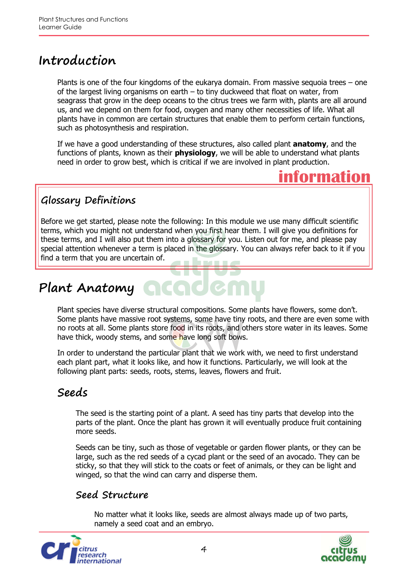## **Introduction**

Plants is one of the four kingdoms of the eukarya domain. From massive sequoia trees – one of the largest living organisms on earth – to tiny duckweed that float on water, from seagrass that grow in the deep oceans to the citrus trees we farm with, plants are all around us, and we depend on them for food, oxygen and many other necessities of life. What all plants have in common are certain structures that enable them to perform certain functions, such as photosynthesis and respiration.

If we have a good understanding of these structures, also called plant **anatomy**, and the functions of plants, known as their **physiology**, we will be able to understand what plants need in order to grow best, which is critical if we are involved in plant production.



## **Glossary Definitions**

Before we get started, please note the following: In this module we use many difficult scientific terms, which you might not understand when you first hear them. I will give you definitions for these terms, and I will also put them into a glossary for you. Listen out for me, and please pay special attention whenever a term is placed in the glossary. You can always refer back to it if you find a term that you are uncertain of.

# **Plant Anatomy**

Plant species have diverse structural compositions. Some plants have flowers, some don't. Some plants have massive root systems, some have tiny roots, and there are even some with no roots at all. Some plants store food in its roots, and others store water in its leaves. Some have thick, woody stems, and some have long soft bows.

In order to understand the particular plant that we work with, we need to first understand each plant part, what it looks like, and how it functions. Particularly, we will look at the following plant parts: seeds, roots, stems, leaves, flowers and fruit.

## **Seeds**

The seed is the starting point of a plant. A seed has tiny parts that develop into the parts of the plant. Once the plant has grown it will eventually produce fruit containing more seeds.

Seeds can be tiny, such as those of vegetable or garden flower plants, or they can be large, such as the red seeds of a cycad plant or the seed of an avocado. They can be sticky, so that they will stick to the coats or feet of animals, or they can be light and winged, so that the wind can carry and disperse them.

## **Seed Structure**

No matter what it looks like, seeds are almost always made up of two parts, namely a seed coat and an embryo.



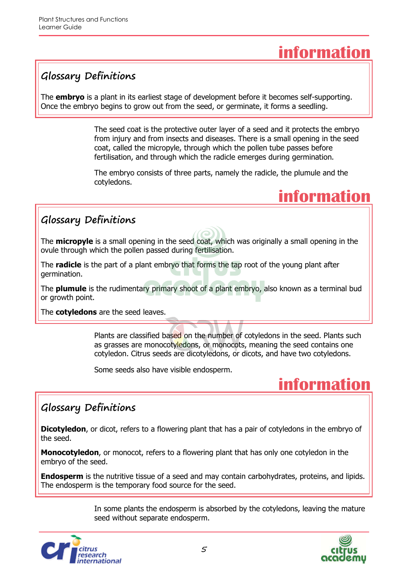## **information**

## **Glossary Definitions**

The **embryo** is a plant in its earliest stage of development before it becomes self-supporting. Once the embryo begins to grow out from the seed, or germinate, it forms a seedling.

> The seed coat is the protective outer layer of a seed and it protects the embryo from injury and from insects and diseases. There is a small opening in the seed coat, called the micropyle, through which the pollen tube passes before fertilisation, and through which the radicle emerges during germination.

The embryo consists of three parts, namely the radicle, the plumule and the cotyledons.

## **information**

## **Glossary Definitions**

The **micropyle** is a small opening in the seed coat, which was originally a small opening in the ovule through which the pollen passed during fertilisation.

The **radicle** is the part of a plant embryo that forms the tap root of the young plant after germination.

The **plumule** is the rudimentary primary shoot of a plant embryo, also known as a terminal bud or growth point.

The **cotyledons** are the seed leaves.

Plants are classified based on the number of cotyledons in the seed. Plants such as grasses are monocotyledons, or monocots, meaning the seed contains one cotyledon. Citrus seeds are dicotyledons, or dicots, and have two cotyledons.

Some seeds also have visible endosperm.

## **information**

## **Glossary Definitions**

**Dicotyledon**, or dicot, refers to a flowering plant that has a pair of cotyledons in the embryo of the seed.

**Monocotyledon**, or monocot, refers to a flowering plant that has only one cotyledon in the embryo of the seed.

**Endosperm** is the nutritive tissue of a seed and may contain carbohydrates, proteins, and lipids. The endosperm is the temporary food source for the seed.

> In some plants the endosperm is absorbed by the cotyledons, leaving the mature seed without separate endosperm.



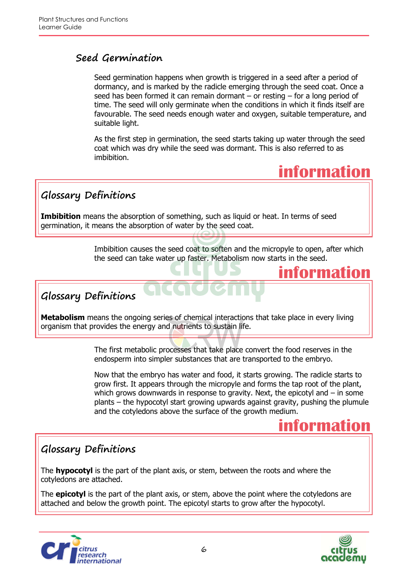### **Seed Germination**

Seed germination happens when growth is triggered in a seed after a period of dormancy, and is marked by the radicle emerging through the seed coat. Once a seed has been formed it can remain dormant – or resting – for a long period of time. The seed will only germinate when the conditions in which it finds itself are favourable. The seed needs enough water and oxygen, suitable temperature, and suitable light.

As the first step in germination, the seed starts taking up water through the seed coat which was dry while the seed was dormant. This is also referred to as imbibition.



**information**

## **Glossary Definitions**

**Imbibition** means the absorption of something, such as liquid or heat. In terms of seed germination, it means the absorption of water by the seed coat.

> Imbibition causes the seed coat to soften and the micropyle to open, after which the seed can take water up faster. Metabolism now starts in the seed.

## **Glossary Definitions**

**Metabolism** means the ongoing series of chemical interactions that take place in every living organism that provides the energy and nutrients to sustain life.

> The first metabolic processes that take place convert the food reserves in the endosperm into simpler substances that are transported to the embryo.

Now that the embryo has water and food, it starts growing. The radicle starts to grow first. It appears through the micropyle and forms the tap root of the plant, which grows downwards in response to gravity. Next, the epicotyl and – in some plants – the hypocotyl start growing upwards against gravity, pushing the plumule and the cotyledons above the surface of the growth medium.

## **information**

### **Glossary Definitions**

The **hypocotyl** is the part of the plant axis, or stem, between the roots and where the cotyledons are attached.

The **epicotyl** is the part of the plant axis, or stem, above the point where the cotyledons are attached and below the growth point. The epicotyl starts to grow after the hypocotyl.



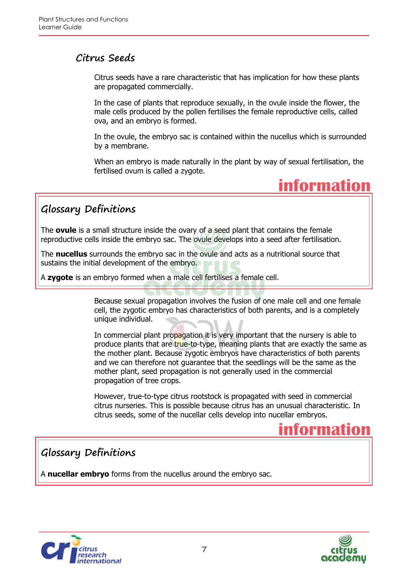### **Citrus Seeds**

Citrus seeds have a rare characteristic that has implication for how these plants are propagated commercially.

In the case of plants that reproduce sexually, in the ovule inside the flower, the male cells produced by the pollen fertilises the female reproductive cells, called ova, and an embryo is formed.

In the ovule, the embryo sac is contained within the nucellus which is surrounded by a membrane.

When an embryo is made naturally in the plant by way of sexual fertilisation, the fertilised ovum is called a zygote.



## **Glossary Definitions**

The **ovule** is a small structure inside the ovary of a seed plant that contains the female reproductive cells inside the embryo sac. The ovule develops into a seed after fertilisation.

The **nucellus** surrounds the embryo sac in the ovule and acts as a nutritional source that sustains the initial development of the embryo.

A **zygote** is an embryo formed when a male cell fertilises a female cell.

Because sexual propagation involves the fusion of one male cell and one female cell, the zygotic embryo has characteristics of both parents, and is a completely unique individual.

In commercial plant propagation it is very important that the nursery is able to produce plants that are true-to-type, meaning plants that are exactly the same as the mother plant. Because zygotic embryos have characteristics of both parents and we can therefore not guarantee that the seedlings will be the same as the mother plant, seed propagation is not generally used in the commercial propagation of tree crops.

However, true-to-type citrus rootstock is propagated with seed in commercial citrus nurseries. This is possible because citrus has an unusual characteristic. In citrus seeds, some of the nucellar cells develop into nucellar embryos.



## **Glossary Definitions**

A **nucellar embryo** forms from the nucellus around the embryo sac.



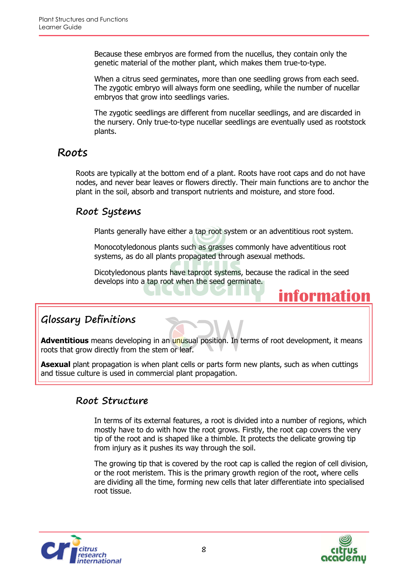Because these embryos are formed from the nucellus, they contain only the genetic material of the mother plant, which makes them true-to-type.

When a citrus seed germinates, more than one seedling grows from each seed. The zygotic embryo will always form one seedling, while the number of nucellar embryos that grow into seedlings varies.

The zygotic seedlings are different from nucellar seedlings, and are discarded in the nursery. Only true-to-type nucellar seedlings are eventually used as rootstock plants.

## **Roots**

Roots are typically at the bottom end of a plant. Roots have root caps and do not have nodes, and never bear leaves or flowers directly. Their main functions are to anchor the plant in the soil, absorb and transport nutrients and moisture, and store food.

#### **Root Systems**

Plants generally have either a tap root system or an adventitious root system.

Monocotyledonous plants such as grasses commonly have adventitious root systems, as do all plants propagated through asexual methods.

Dicotyledonous plants have taproot systems, because the radical in the seed develops into a tap root when the seed germinate.

## **information**

## **Glossary Definitions**

Adventitious means developing in an unusual position. In terms of root development, it means roots that grow directly from the stem or leaf.

**Asexual** plant propagation is when plant cells or parts form new plants, such as when cuttings and tissue culture is used in commercial plant propagation.

## **Root Structure**

In terms of its external features, a root is divided into a number of regions, which mostly have to do with how the root grows. Firstly, the root cap covers the very tip of the root and is shaped like a thimble. It protects the delicate growing tip from injury as it pushes its way through the soil.

The growing tip that is covered by the root cap is called the region of cell division, or the root meristem. This is the primary growth region of the root, where cells are dividing all the time, forming new cells that later differentiate into specialised root tissue.



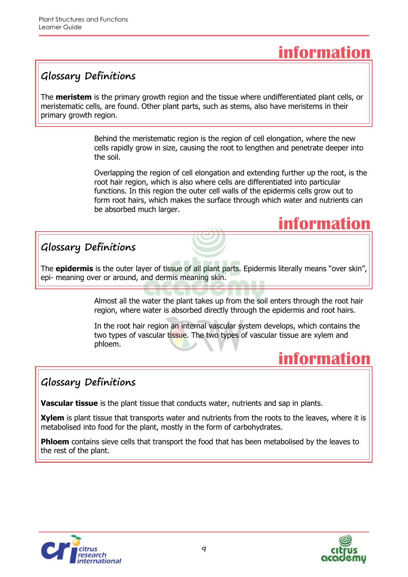## **information**

## **Glossary Definitions**

The **meristem** is the primary growth region and the tissue where undifferentiated plant cells, or meristematic cells, are found. Other plant parts, such as stems, also have meristems in their primary growth region.

> Behind the meristematic region is the region of cell elongation, where the new cells rapidly grow in size, causing the root to lengthen and penetrate deeper into the soil.

Overlapping the region of cell elongation and extending further up the root, is the root hair region, which is also where cells are differentiated into particular functions. In this region the outer cell walls of the epidermis cells grow out to form root hairs, which makes the surface through which water and nutrients can be absorbed much larger.



## **Glossary Definitions**

The **epidermis** is the outer layer of tissue of all plant parts. Epidermis literally means "over skin", epi- meaning over or around, and dermis meaning skin.

> Almost all the water the plant takes up from the soil enters through the root hair region, where water is absorbed directly through the epidermis and root hairs.

> In the root hair region an internal vascular system develops, which contains the two types of vascular tissue. The two types of vascular tissue are xylem and phloem.

## **information**

## **Glossary Definitions**

**Vascular tissue** is the plant tissue that conducts water, nutrients and sap in plants.

**Xylem** is plant tissue that transports water and nutrients from the roots to the leaves, where it is metabolised into food for the plant, mostly in the form of carbohydrates.

**Phloem** contains sieve cells that transport the food that has been metabolised by the leaves to the rest of the plant.



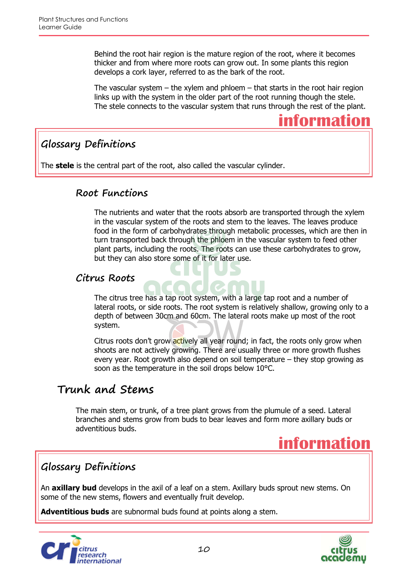Behind the root hair region is the mature region of the root, where it becomes thicker and from where more roots can grow out. In some plants this region develops a cork layer, referred to as the bark of the root.

The vascular system  $-$  the xylem and phloem  $-$  that starts in the root hair region links up with the system in the older part of the root running though the stele. The stele connects to the vascular system that runs through the rest of the plant.



## **Glossary Definitions**

The **stele** is the central part of the root, also called the vascular cylinder.

#### **Root Functions**

The nutrients and water that the roots absorb are transported through the xylem in the vascular system of the roots and stem to the leaves. The leaves produce food in the form of carbohydrates through metabolic processes, which are then in turn transported back through the phloem in the vascular system to feed other plant parts, including the roots. The roots can use these carbohydrates to grow, but they can also store some of it for later use.

### **Citrus Roots**

The citrus tree has a tap root system, with a large tap root and a number of lateral roots, or side roots. The root system is relatively shallow, growing only to a depth of between 30cm and 60cm. The lateral roots make up most of the root system.

Citrus roots don't grow actively all year round; in fact, the roots only grow when shoots are not actively growing. There are usually three or more growth flushes every year. Root growth also depend on soil temperature – they stop growing as soon as the temperature in the soil drops below 10°C.

## **Trunk and Stems**

The main stem, or trunk, of a tree plant grows from the plumule of a seed. Lateral branches and stems grow from buds to bear leaves and form more axillary buds or adventitious buds.



## **Glossary Definitions**

An **axillary bud** develops in the axil of a leaf on a stem. Axillary buds sprout new stems. On some of the new stems, flowers and eventually fruit develop.

**Adventitious buds** are subnormal buds found at points along a stem.



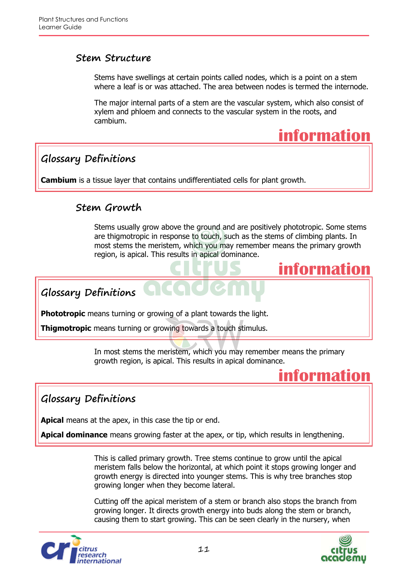#### **Stem Structure**

Stems have swellings at certain points called nodes, which is a point on a stem where a leaf is or was attached. The area between nodes is termed the internode.

The major internal parts of a stem are the vascular system, which also consist of xylem and phloem and connects to the vascular system in the roots, and cambium.

## **information**

## **Glossary Definitions**

**Cambium** is a tissue layer that contains undifferentiated cells for plant growth.

### **Stem Growth**

Stems usually grow above the ground and are positively phototropic. Some stems are thigmotropic in response to touch, such as the stems of climbing plants. In most stems the meristem, which you may remember means the primary growth region, is apical. This results in apical dominance.

## **information**

**Glossary Definitions**

**Phototropic** means turning or growing of a plant towards the light.

**Thigmotropic** means turning or growing towards a touch stimulus.

In most stems the meristem, which you may remember means the primary growth region, is apical. This results in apical dominance.

## **information**

## **Glossary Definitions**

**Apical** means at the apex, in this case the tip or end.

**Apical dominance** means growing faster at the apex, or tip, which results in lengthening.

This is called primary growth. Tree stems continue to grow until the apical meristem falls below the horizontal, at which point it stops growing longer and growth energy is directed into younger stems. This is why tree branches stop growing longer when they become lateral.

Cutting off the apical meristem of a stem or branch also stops the branch from growing longer. It directs growth energy into buds along the stem or branch, causing them to start growing. This can be seen clearly in the nursery, when



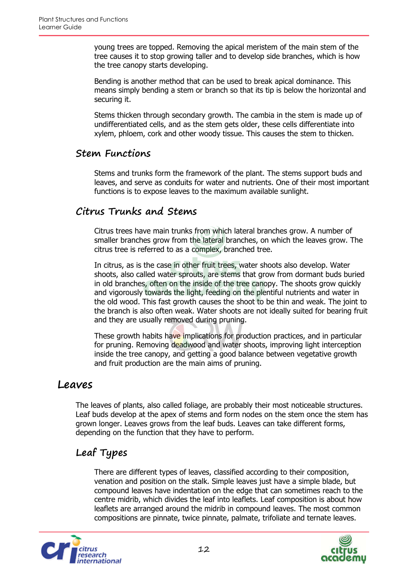young trees are topped. Removing the apical meristem of the main stem of the tree causes it to stop growing taller and to develop side branches, which is how the tree canopy starts developing.

Bending is another method that can be used to break apical dominance. This means simply bending a stem or branch so that its tip is below the horizontal and securing it.

Stems thicken through secondary growth. The cambia in the stem is made up of undifferentiated cells, and as the stem gets older, these cells differentiate into xylem, phloem, cork and other woody tissue. This causes the stem to thicken.

#### **Stem Functions**

Stems and trunks form the framework of the plant. The stems support buds and leaves, and serve as conduits for water and nutrients. One of their most important functions is to expose leaves to the maximum available sunlight.

### **Citrus Trunks and Stems**

Citrus trees have main trunks from which lateral branches grow. A number of smaller branches grow from the lateral branches, on which the leaves grow. The citrus tree is referred to as a complex, branched tree.

In citrus, as is the case in other fruit trees, water shoots also develop. Water shoots, also called water sprouts, are stems that grow from dormant buds buried in old branches, often on the inside of the tree canopy. The shoots grow quickly and vigorously towards the light, feeding on the plentiful nutrients and water in the old wood. This fast growth causes the shoot to be thin and weak. The joint to the branch is also often weak. Water shoots are not ideally suited for bearing fruit and they are usually removed during pruning.

These growth habits have implications for production practices, and in particular for pruning. Removing deadwood and water shoots, improving light interception inside the tree canopy, and getting a good balance between vegetative growth and fruit production are the main aims of pruning.

#### **Leaves**

The leaves of plants, also called foliage, are probably their most noticeable structures. Leaf buds develop at the apex of stems and form nodes on the stem once the stem has grown longer. Leaves grows from the leaf buds. Leaves can take different forms, depending on the function that they have to perform.

## **Leaf Types**

There are different types of leaves, classified according to their composition, venation and position on the stalk. Simple leaves just have a simple blade, but compound leaves have indentation on the edge that can sometimes reach to the centre midrib, which divides the leaf into leaflets. Leaf composition is about how leaflets are arranged around the midrib in compound leaves. The most common compositions are pinnate, twice pinnate, palmate, trifoliate and ternate leaves.



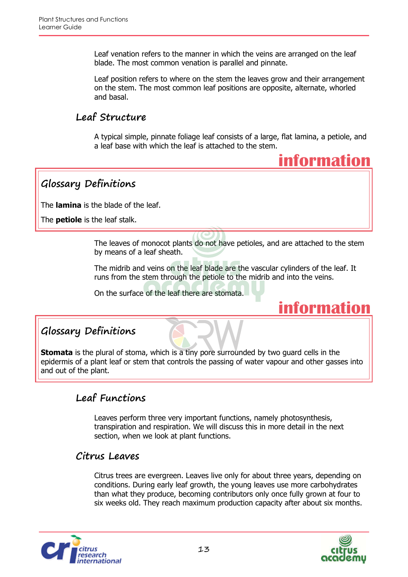Leaf venation refers to the manner in which the veins are arranged on the leaf blade. The most common venation is parallel and pinnate.

Leaf position refers to where on the stem the leaves grow and their arrangement on the stem. The most common leaf positions are opposite, alternate, whorled and basal.

### **Leaf Structure**

A typical simple, pinnate foliage leaf consists of a large, flat lamina, a petiole, and a leaf base with which the leaf is attached to the stem.



**Glossary Definitions**

The **lamina** is the blade of the leaf.

The **petiole** is the leaf stalk.

The leaves of monocot plants do not have petioles, and are attached to the stem by means of a leaf sheath.

The midrib and veins on the leaf blade are the vascular cylinders of the leaf. It runs from the stem through the petiole to the midrib and into the veins.

On the surface of the leaf there are stomata.



## **Glossary Definitions**

**Stomata** is the plural of stoma, which is a tiny pore surrounded by two guard cells in the epidermis of a plant leaf or stem that controls the passing of water vapour and other gasses into and out of the plant.

## **Leaf Functions**

Leaves perform three very important functions, namely photosynthesis, transpiration and respiration. We will discuss this in more detail in the next section, when we look at plant functions.

#### **Citrus Leaves**

Citrus trees are evergreen. Leaves live only for about three years, depending on conditions. During early leaf growth, the young leaves use more carbohydrates than what they produce, becoming contributors only once fully grown at four to six weeks old. They reach maximum production capacity after about six months.



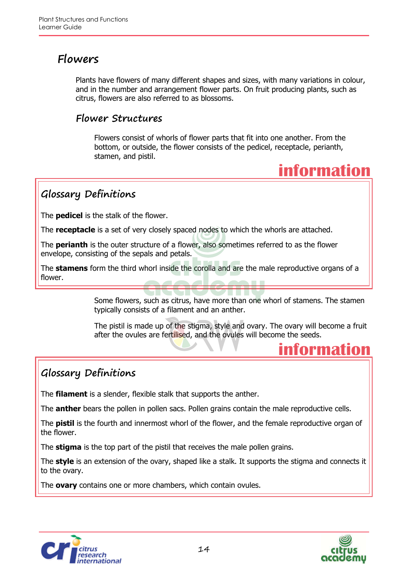## **Flowers**

Plants have flowers of many different shapes and sizes, with many variations in colour, and in the number and arrangement flower parts. On fruit producing plants, such as citrus, flowers are also referred to as blossoms.

### **Flower Structures**

Flowers consist of whorls of flower parts that fit into one another. From the bottom, or outside, the flower consists of the pedicel, receptacle, perianth, stamen, and pistil.



**information**

## **Glossary Definitions**

The **pedicel** is the stalk of the flower.

The **receptacle** is a set of very closely spaced nodes to which the whorls are attached.

The **perianth** is the outer structure of a flower, also sometimes referred to as the flower envelope, consisting of the sepals and petals.

The **stamens** form the third whorl inside the corolla and are the male reproductive organs of a flower.

> Some flowers, such as citrus, have more than one whorl of stamens. The stamen typically consists of a filament and an anther.

The pistil is made up of the stigma, style and ovary. The ovary will become a fruit after the ovules are fertilised, and the ovules will become the seeds.

## **Glossary Definitions**

The **filament** is a slender, flexible stalk that supports the anther.

The **anther** bears the pollen in pollen sacs. Pollen grains contain the male reproductive cells.

The **pistil** is the fourth and innermost whorl of the flower, and the female reproductive organ of the flower.

The **stigma** is the top part of the pistil that receives the male pollen grains.

The **style** is an extension of the ovary, shaped like a stalk. It supports the stigma and connects it to the ovary.

The **ovary** contains one or more chambers, which contain ovules.



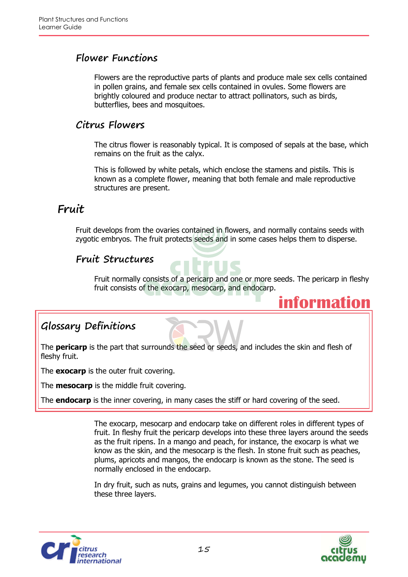#### **Flower Functions**

Flowers are the reproductive parts of plants and produce male sex cells contained in pollen grains, and female sex cells contained in ovules. Some flowers are brightly coloured and produce nectar to attract pollinators, such as birds, butterflies, bees and mosquitoes.

#### **Citrus Flowers**

The citrus flower is reasonably typical. It is composed of sepals at the base, which remains on the fruit as the calyx.

This is followed by white petals, which enclose the stamens and pistils. This is known as a complete flower, meaning that both female and male reproductive structures are present.

## **Fruit**

Fruit develops from the ovaries contained in flowers, and normally contains seeds with zygotic embryos. The fruit protects seeds and in some cases helps them to disperse.

### **Fruit Structures**

Fruit normally consists of a pericarp and one or more seeds. The pericarp in fleshy fruit consists of the exocarp, mesocarp, and endocarp.

## **Glossary Definitions**

The **pericarp** is the part that surrounds the seed or seeds, and includes the skin and flesh of fleshy fruit.

The **exocarp** is the outer fruit covering.

The **mesocarp** is the middle fruit covering.

The **endocarp** is the inner covering, in many cases the stiff or hard covering of the seed.

The exocarp, mesocarp and endocarp take on different roles in different types of fruit. In fleshy fruit the pericarp develops into these three layers around the seeds as the fruit ripens. In a mango and peach, for instance, the exocarp is what we know as the skin, and the mesocarp is the flesh. In stone fruit such as peaches, plums, apricots and mangos, the endocarp is known as the stone. The seed is normally enclosed in the endocarp.

In dry fruit, such as nuts, grains and legumes, you cannot distinguish between these three layers.





**information**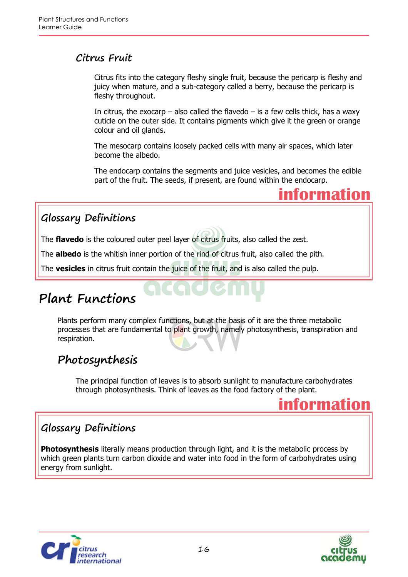### **Citrus Fruit**

Citrus fits into the category fleshy single fruit, because the pericarp is fleshy and juicy when mature, and a sub-category called a berry, because the pericarp is fleshy throughout.

In citrus, the exocarp – also called the flavedo – is a few cells thick, has a waxy cuticle on the outer side. It contains pigments which give it the green or orange colour and oil glands.

The mesocarp contains loosely packed cells with many air spaces, which later become the albedo.

The endocarp contains the segments and juice vesicles, and becomes the edible part of the fruit. The seeds, if present, are found within the endocarp.



## **Glossary Definitions**

The **flavedo** is the coloured outer peel layer of citrus fruits, also called the zest.

The **albedo** is the whitish inner portion of the rind of citrus fruit, also called the pith.

The **vesicles** in citrus fruit contain the juice of the fruit, and is also called the pulp.

## **Plant Functions**

Plants perform many complex functions, but at the basis of it are the three metabolic processes that are fundamental to plant growth, namely photosynthesis, transpiration and respiration.

## **Photosynthesis**

The principal function of leaves is to absorb sunlight to manufacture carbohydrates through photosynthesis. Think of leaves as the food factory of the plant.



## **Glossary Definitions**

**Photosynthesis** literally means production through light, and it is the metabolic process by which green plants turn carbon dioxide and water into food in the form of carbohydrates using energy from sunlight.



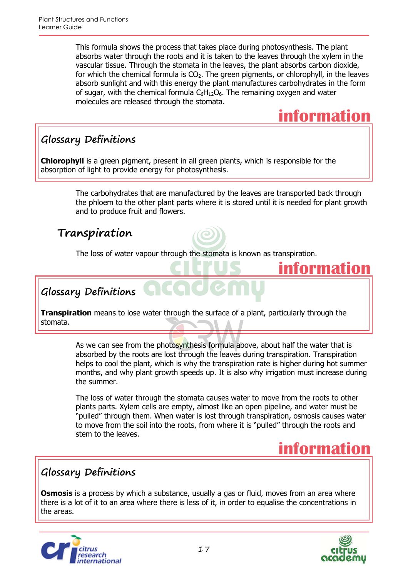This formula shows the process that takes place during photosynthesis. The plant absorbs water through the roots and it is taken to the leaves through the xylem in the vascular tissue. Through the stomata in the leaves, the plant absorbs carbon dioxide, for which the chemical formula is  $CO<sub>2</sub>$ . The green pigments, or chlorophyll, in the leaves absorb sunlight and with this energy the plant manufactures carbohydrates in the form of sugar, with the chemical formula  $C_6H_{12}O_6$ . The remaining oxygen and water molecules are released through the stomata.



**information**

## **Glossary Definitions**

**Chlorophyll** is a green pigment, present in all green plants, which is responsible for the absorption of light to provide energy for photosynthesis.

> The carbohydrates that are manufactured by the leaves are transported back through the phloem to the other plant parts where it is stored until it is needed for plant growth and to produce fruit and flowers.

## **Transpiration**

The loss of water vapour through the stomata is known as transpiration.

**Glossary Definitions**

**Transpiration** means to lose water through the surface of a plant, particularly through the stomata.

> As we can see from the photosynthesis formula above, about half the water that is absorbed by the roots are lost through the leaves during transpiration. Transpiration helps to cool the plant, which is why the transpiration rate is higher during hot summer months, and why plant growth speeds up. It is also why irrigation must increase during the summer.

> The loss of water through the stomata causes water to move from the roots to other plants parts. Xylem cells are empty, almost like an open pipeline, and water must be "pulled" through them. When water is lost through transpiration, osmosis causes water to move from the soil into the roots, from where it is "pulled" through the roots and stem to the leaves.

## **information**

## **Glossary Definitions**

**Osmosis** is a process by which a substance, usually a gas or fluid, moves from an area where there is a lot of it to an area where there is less of it, in order to equalise the concentrations in the areas.